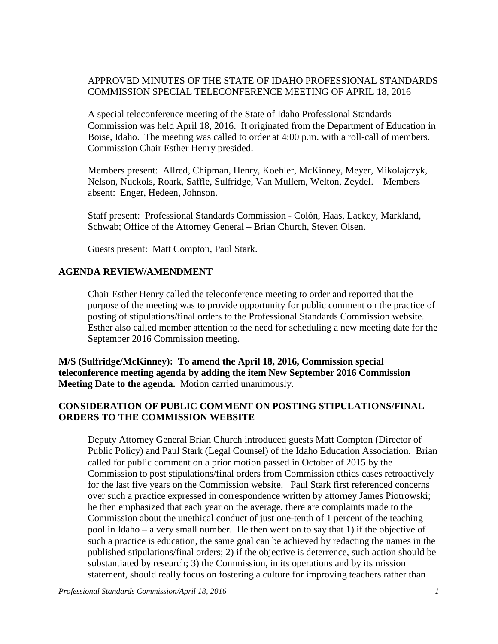## APPROVED MINUTES OF THE STATE OF IDAHO PROFESSIONAL STANDARDS COMMISSION SPECIAL TELECONFERENCE MEETING OF APRIL 18, 2016

A special teleconference meeting of the State of Idaho Professional Standards Commission was held April 18, 2016. It originated from the Department of Education in Boise, Idaho. The meeting was called to order at 4:00 p.m. with a roll-call of members. Commission Chair Esther Henry presided.

Members present: Allred, Chipman, Henry, Koehler, McKinney, Meyer, Mikolajczyk, Nelson, Nuckols, Roark, Saffle, Sulfridge, Van Mullem, Welton, Zeydel. Members absent: Enger, Hedeen, Johnson.

Staff present: Professional Standards Commission - Colón, Haas, Lackey, Markland, Schwab; Office of the Attorney General – Brian Church, Steven Olsen.

Guests present: Matt Compton, Paul Stark.

## **AGENDA REVIEW/AMENDMENT**

Chair Esther Henry called the teleconference meeting to order and reported that the purpose of the meeting was to provide opportunity for public comment on the practice of posting of stipulations/final orders to the Professional Standards Commission website. Esther also called member attention to the need for scheduling a new meeting date for the September 2016 Commission meeting.

**M/S (Sulfridge/McKinney): To amend the April 18, 2016, Commission special teleconference meeting agenda by adding the item New September 2016 Commission Meeting Date to the agenda.** Motion carried unanimously.

## **CONSIDERATION OF PUBLIC COMMENT ON POSTING STIPULATIONS/FINAL ORDERS TO THE COMMISSION WEBSITE**

Deputy Attorney General Brian Church introduced guests Matt Compton (Director of Public Policy) and Paul Stark (Legal Counsel) of the Idaho Education Association. Brian called for public comment on a prior motion passed in October of 2015 by the Commission to post stipulations/final orders from Commission ethics cases retroactively for the last five years on the Commission website. Paul Stark first referenced concerns over such a practice expressed in correspondence written by attorney James Piotrowski; he then emphasized that each year on the average, there are complaints made to the Commission about the unethical conduct of just one-tenth of 1 percent of the teaching pool in Idaho – a very small number. He then went on to say that 1) if the objective of such a practice is education, the same goal can be achieved by redacting the names in the published stipulations/final orders; 2) if the objective is deterrence, such action should be substantiated by research; 3) the Commission, in its operations and by its mission statement, should really focus on fostering a culture for improving teachers rather than